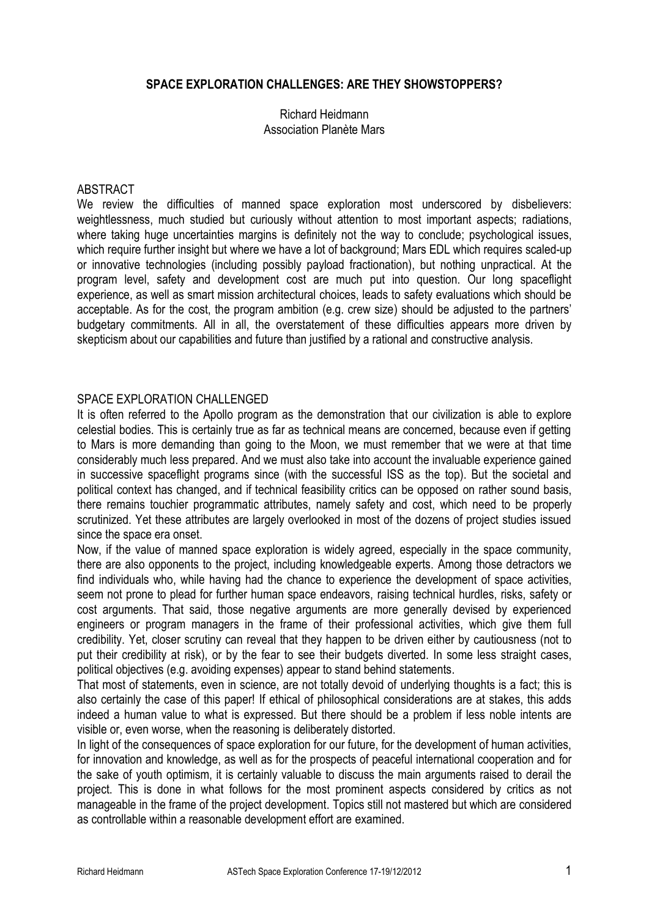### **SPACE EXPLORATION CHALLENGES: ARE THEY SHOWSTOPPERS?**

#### Richard Heidmann Association Planète Mars

#### ABSTRACT

We review the difficulties of manned space exploration most underscored by disbelievers: weightlessness, much studied but curiously without attention to most important aspects; radiations, where taking huge uncertainties margins is definitely not the way to conclude; psychological issues, which require further insight but where we have a lot of background; Mars EDL which requires scaled-up or innovative technologies (including possibly payload fractionation), but nothing unpractical. At the program level, safety and development cost are much put into question. Our long spaceflight experience, as well as smart mission architectural choices, leads to safety evaluations which should be acceptable. As for the cost, the program ambition (e.g. crew size) should be adjusted to the partners' budgetary commitments. All in all, the overstatement of these difficulties appears more driven by skepticism about our capabilities and future than justified by a rational and constructive analysis.

### SPACE EXPLORATION CHALLENGED

It is often referred to the Apollo program as the demonstration that our civilization is able to explore celestial bodies. This is certainly true as far as technical means are concerned, because even if getting to Mars is more demanding than going to the Moon, we must remember that we were at that time considerably much less prepared. And we must also take into account the invaluable experience gained in successive spaceflight programs since (with the successful ISS as the top). But the societal and political context has changed, and if technical feasibility critics can be opposed on rather sound basis, there remains touchier programmatic attributes, namely safety and cost, which need to be properly scrutinized. Yet these attributes are largely overlooked in most of the dozens of project studies issued since the space era onset.

Now, if the value of manned space exploration is widely agreed, especially in the space community, there are also opponents to the project, including knowledgeable experts. Among those detractors we find individuals who, while having had the chance to experience the development of space activities, seem not prone to plead for further human space endeavors, raising technical hurdles, risks, safety or cost arguments. That said, those negative arguments are more generally devised by experienced engineers or program managers in the frame of their professional activities, which give them full credibility. Yet, closer scrutiny can reveal that they happen to be driven either by cautiousness (not to put their credibility at risk), or by the fear to see their budgets diverted. In some less straight cases, political objectives (e.g. avoiding expenses) appear to stand behind statements.

That most of statements, even in science, are not totally devoid of underlying thoughts is a fact; this is also certainly the case of this paper! If ethical of philosophical considerations are at stakes, this adds indeed a human value to what is expressed. But there should be a problem if less noble intents are visible or, even worse, when the reasoning is deliberately distorted.

In light of the consequences of space exploration for our future, for the development of human activities, for innovation and knowledge, as well as for the prospects of peaceful international cooperation and for the sake of youth optimism, it is certainly valuable to discuss the main arguments raised to derail the project. This is done in what follows for the most prominent aspects considered by critics as not manageable in the frame of the project development. Topics still not mastered but which are considered as controllable within a reasonable development effort are examined.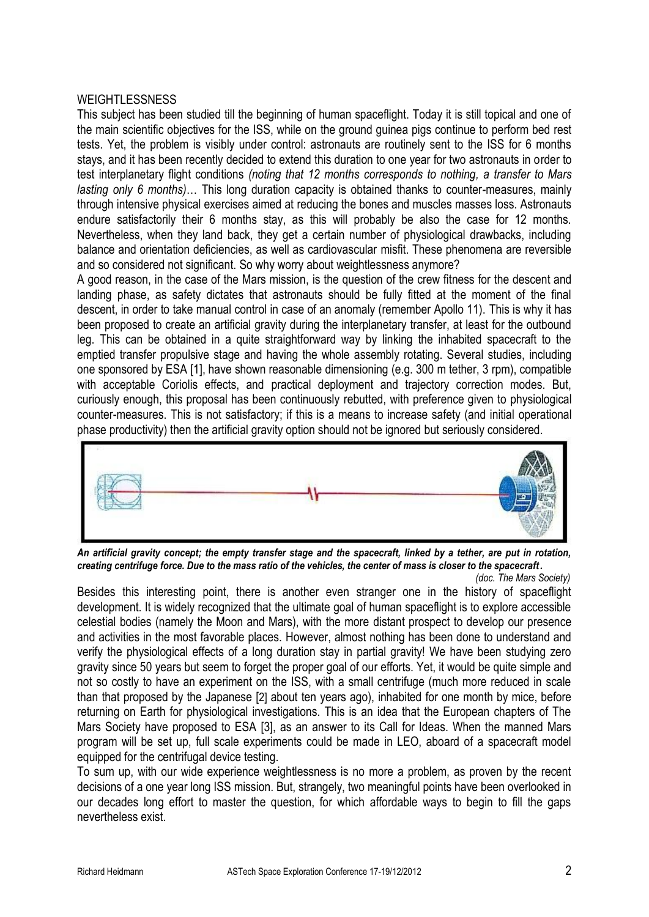### **WEIGHTLESSNESS**

This subject has been studied till the beginning of human spaceflight. Today it is still topical and one of the main scientific objectives for the ISS, while on the ground guinea pigs continue to perform bed rest tests. Yet, the problem is visibly under control: astronauts are routinely sent to the ISS for 6 months stays, and it has been recently decided to extend this duration to one year for two astronauts in order to test interplanetary flight conditions *(noting that 12 months corresponds to nothing, a transfer to Mars lasting only 6 months)*… This long duration capacity is obtained thanks to counter-measures, mainly through intensive physical exercises aimed at reducing the bones and muscles masses loss. Astronauts endure satisfactorily their 6 months stay, as this will probably be also the case for 12 months. Nevertheless, when they land back, they get a certain number of physiological drawbacks, including balance and orientation deficiencies, as well as cardiovascular misfit. These phenomena are reversible and so considered not significant. So why worry about weightlessness anymore?

A good reason, in the case of the Mars mission, is the question of the crew fitness for the descent and landing phase, as safety dictates that astronauts should be fully fitted at the moment of the final descent, in order to take manual control in case of an anomaly (remember Apollo 11). This is why it has been proposed to create an artificial gravity during the interplanetary transfer, at least for the outbound leg. This can be obtained in a quite straightforward way by linking the inhabited spacecraft to the emptied transfer propulsive stage and having the whole assembly rotating. Several studies, including one sponsored by ESA [1], have shown reasonable dimensioning (e.g. 300 m tether, 3 rpm), compatible with acceptable Coriolis effects, and practical deployment and trajectory correction modes. But, curiously enough, this proposal has been continuously rebutted, with preference given to physiological counter-measures. This is not satisfactory; if this is a means to increase safety (and initial operational phase productivity) then the artificial gravity option should not be ignored but seriously considered.



*An artificial gravity concept; the empty transfer stage and the spacecraft, linked by a tether, are put in rotation, creating centrifuge force. Due to the mass ratio of the vehicles, the center of mass is closer to the spacecraft.*

 *(doc. The Mars Society)* Besides this interesting point, there is another even stranger one in the history of spaceflight development. It is widely recognized that the ultimate goal of human spaceflight is to explore accessible celestial bodies (namely the Moon and Mars), with the more distant prospect to develop our presence and activities in the most favorable places. However, almost nothing has been done to understand and verify the physiological effects of a long duration stay in partial gravity! We have been studying zero gravity since 50 years but seem to forget the proper goal of our efforts. Yet, it would be quite simple and not so costly to have an experiment on the ISS, with a small centrifuge (much more reduced in scale than that proposed by the Japanese [2] about ten years ago), inhabited for one month by mice, before returning on Earth for physiological investigations. This is an idea that the European chapters of The Mars Society have proposed to ESA [3], as an answer to its Call for Ideas. When the manned Mars program will be set up, full scale experiments could be made in LEO, aboard of a spacecraft model equipped for the centrifugal device testing.

To sum up, with our wide experience weightlessness is no more a problem, as proven by the recent decisions of a one year long ISS mission. But, strangely, two meaningful points have been overlooked in our decades long effort to master the question, for which affordable ways to begin to fill the gaps nevertheless exist.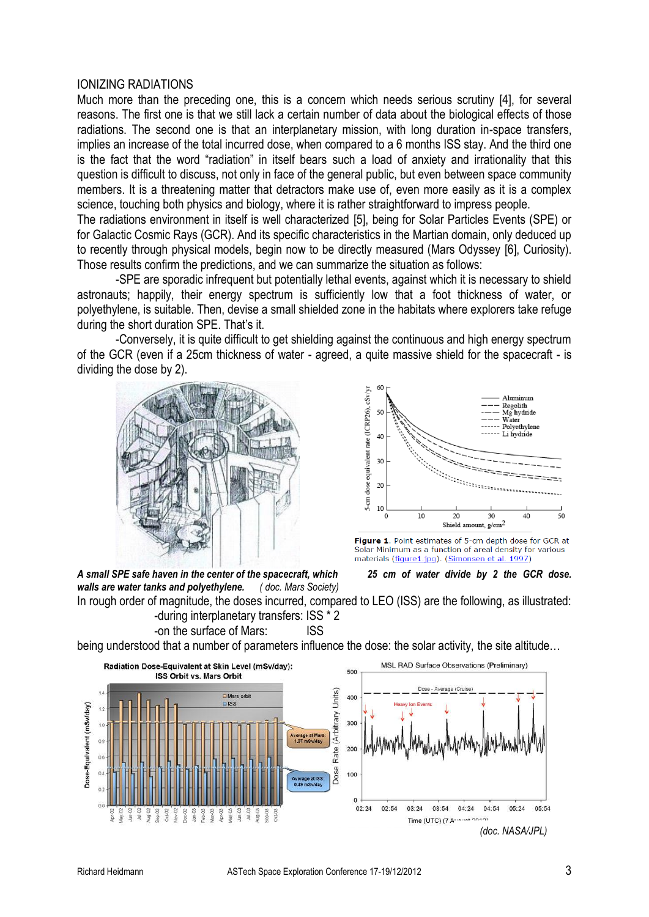#### IONIZING RADIATIONS

Much more than the preceding one, this is a concern which needs serious scrutiny [4], for several reasons. The first one is that we still lack a certain number of data about the biological effects of those radiations. The second one is that an interplanetary mission, with long duration in-space transfers, implies an increase of the total incurred dose, when compared to a 6 months ISS stay. And the third one is the fact that the word "radiation" in itself bears such a load of anxiety and irrationality that this question is difficult to discuss, not only in face of the general public, but even between space community members. It is a threatening matter that detractors make use of, even more easily as it is a complex science, touching both physics and biology, where it is rather straightforward to impress people.

The radiations environment in itself is well characterized [5], being for Solar Particles Events (SPE) or for Galactic Cosmic Rays (GCR). And its specific characteristics in the Martian domain, only deduced up to recently through physical models, begin now to be directly measured (Mars Odyssey [6], Curiosity). Those results confirm the predictions, and we can summarize the situation as follows:

-SPE are sporadic infrequent but potentially lethal events, against which it is necessary to shield astronauts; happily, their energy spectrum is sufficiently low that a foot thickness of water, or polyethylene, is suitable. Then, devise a small shielded zone in the habitats where explorers take refuge during the short duration SPE. That's it.

-Conversely, it is quite difficult to get shielding against the continuous and high energy spectrum of the GCR (even if a 25cm thickness of water - agreed, a quite massive shield for the spacecraft - is dividing the dose by 2).





Figure 1. Point estimates of 5-cm depth dose for GCR at Solar Minimum as a function of areal density for various materials (figure1.jpg). (Simonsen et al. 1997)

*A small SPE safe haven in the center of the spacecraft, which 25 cm of water divide by 2 the GCR dose. walls are water tanks and polyethylene. ( doc. Mars Society)* 



In rough order of magnitude, the doses incurred, compared to LEO (ISS) are the following, as illustrated: -during interplanetary transfers: ISS \* 2

-on the surface of Mars: ISS

being understood that a number of parameters influence the dose: the solar activity, the site altitude…

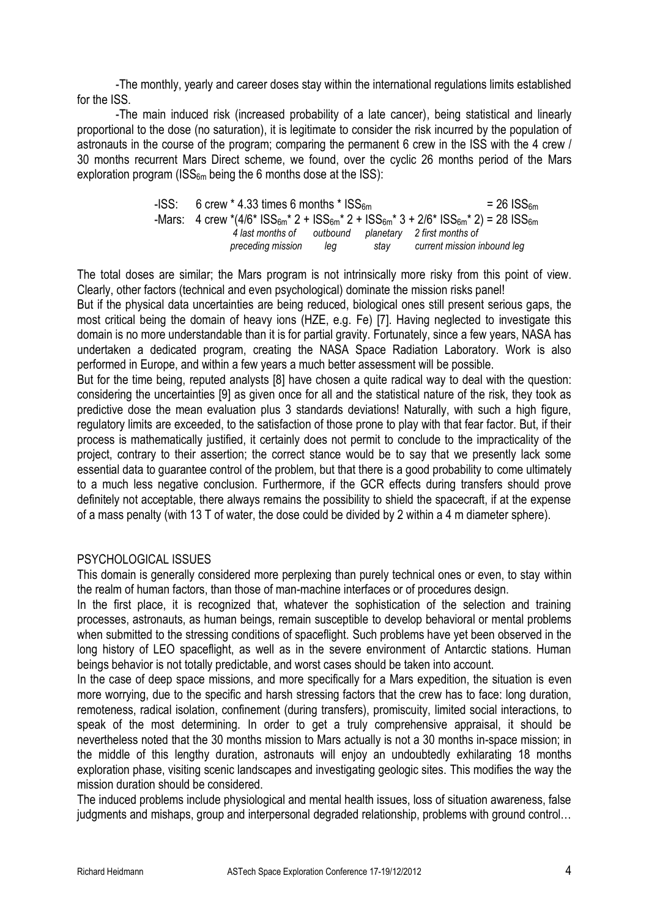-The monthly, yearly and career doses stay within the international regulations limits established for the ISS.

-The main induced risk (increased probability of a late cancer), being statistical and linearly proportional to the dose (no saturation), it is legitimate to consider the risk incurred by the population of astronauts in the course of the program; comparing the permanent 6 crew in the ISS with the 4 crew / 30 months recurrent Mars Direct scheme, we found, over the cyclic 26 months period of the Mars exploration program (ISS<sub>6m</sub> being the 6 months dose at the ISS):

| $-$ ISS: 6 crew $*$ 4.33 times 6 months $*$ ISS <sub>6m</sub> |     |      | $= 26$ ISS $_{6m}$                                                                                              |
|---------------------------------------------------------------|-----|------|-----------------------------------------------------------------------------------------------------------------|
|                                                               |     |      | -Mars: 4 crew *(4/6* $ISS_{6m}$ * 2 + $ISS_{6m}$ * 2 + $ISS_{6m}$ * 3 + $2/6$ * $ISS_{6m}$ * 2) = 28 $ISS_{6m}$ |
| 4 last months of<br>preceding mission                         | lea | stav | outbound planetary 2 first months of<br>current mission inbound leg                                             |

The total doses are similar; the Mars program is not intrinsically more risky from this point of view. Clearly, other factors (technical and even psychological) dominate the mission risks panel!

But if the physical data uncertainties are being reduced, biological ones still present serious gaps, the most critical being the domain of heavy ions (HZE, e.g. Fe) [7]. Having neglected to investigate this domain is no more understandable than it is for partial gravity. Fortunately, since a few years, NASA has undertaken a dedicated program, creating the NASA Space Radiation Laboratory. Work is also performed in Europe, and within a few years a much better assessment will be possible.

But for the time being, reputed analysts [8] have chosen a quite radical way to deal with the question: considering the uncertainties [9] as given once for all and the statistical nature of the risk, they took as predictive dose the mean evaluation plus 3 standards deviations! Naturally, with such a high figure, regulatory limits are exceeded, to the satisfaction of those prone to play with that fear factor. But, if their process is mathematically justified, it certainly does not permit to conclude to the impracticality of the project, contrary to their assertion; the correct stance would be to say that we presently lack some essential data to guarantee control of the problem, but that there is a good probability to come ultimately to a much less negative conclusion. Furthermore, if the GCR effects during transfers should prove definitely not acceptable, there always remains the possibility to shield the spacecraft, if at the expense of a mass penalty (with 13 T of water, the dose could be divided by 2 within a 4 m diameter sphere).

### PSYCHOLOGICAL ISSUES

This domain is generally considered more perplexing than purely technical ones or even, to stay within the realm of human factors, than those of man-machine interfaces or of procedures design.

In the first place, it is recognized that, whatever the sophistication of the selection and training processes, astronauts, as human beings, remain susceptible to develop behavioral or mental problems when submitted to the stressing conditions of spaceflight. Such problems have yet been observed in the long history of LEO spaceflight, as well as in the severe environment of Antarctic stations. Human beings behavior is not totally predictable, and worst cases should be taken into account.

In the case of deep space missions, and more specifically for a Mars expedition, the situation is even more worrying, due to the specific and harsh stressing factors that the crew has to face: long duration, remoteness, radical isolation, confinement (during transfers), promiscuity, limited social interactions, to speak of the most determining. In order to get a truly comprehensive appraisal, it should be nevertheless noted that the 30 months mission to Mars actually is not a 30 months in-space mission; in the middle of this lengthy duration, astronauts will enjoy an undoubtedly exhilarating 18 months exploration phase, visiting scenic landscapes and investigating geologic sites. This modifies the way the mission duration should be considered.

The induced problems include physiological and mental health issues, loss of situation awareness, false judgments and mishaps, group and interpersonal degraded relationship, problems with ground control...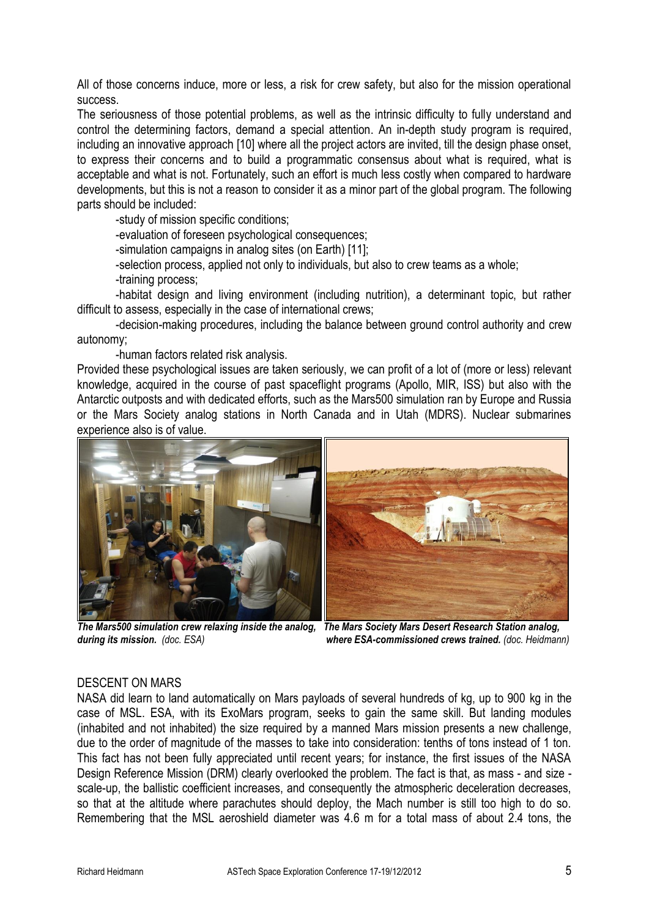All of those concerns induce, more or less, a risk for crew safety, but also for the mission operational success.

The seriousness of those potential problems, as well as the intrinsic difficulty to fully understand and control the determining factors, demand a special attention. An in-depth study program is required, including an innovative approach [10] where all the project actors are invited, till the design phase onset, to express their concerns and to build a programmatic consensus about what is required, what is acceptable and what is not. Fortunately, such an effort is much less costly when compared to hardware developments, but this is not a reason to consider it as a minor part of the global program. The following parts should be included:

-study of mission specific conditions;

-evaluation of foreseen psychological consequences;

-simulation campaigns in analog sites (on Earth) [11];

-selection process, applied not only to individuals, but also to crew teams as a whole;

-training process;

-habitat design and living environment (including nutrition), a determinant topic, but rather difficult to assess, especially in the case of international crews;

-decision-making procedures, including the balance between ground control authority and crew autonomy;

-human factors related risk analysis.

Provided these psychological issues are taken seriously, we can profit of a lot of (more or less) relevant knowledge, acquired in the course of past spaceflight programs (Apollo, MIR, ISS) but also with the Antarctic outposts and with dedicated efforts, such as the Mars500 simulation ran by Europe and Russia or the Mars Society analog stations in North Canada and in Utah (MDRS). Nuclear submarines experience also is of value.



*The Mars500 simulation crew relaxing inside the analog, The Mars Society Mars Desert Research Station analog, during its mission. (doc. ESA) where ESA-commissioned crews trained. (doc. Heidmann)*

# DESCENT ON MARS

NASA did learn to land automatically on Mars payloads of several hundreds of kg, up to 900 kg in the case of MSL. ESA, with its ExoMars program, seeks to gain the same skill. But landing modules (inhabited and not inhabited) the size required by a manned Mars mission presents a new challenge, due to the order of magnitude of the masses to take into consideration: tenths of tons instead of 1 ton. This fact has not been fully appreciated until recent years; for instance, the first issues of the NASA Design Reference Mission (DRM) clearly overlooked the problem. The fact is that, as mass - and size scale-up, the ballistic coefficient increases, and consequently the atmospheric deceleration decreases, so that at the altitude where parachutes should deploy, the Mach number is still too high to do so. Remembering that the MSL aeroshield diameter was 4.6 m for a total mass of about 2.4 tons, the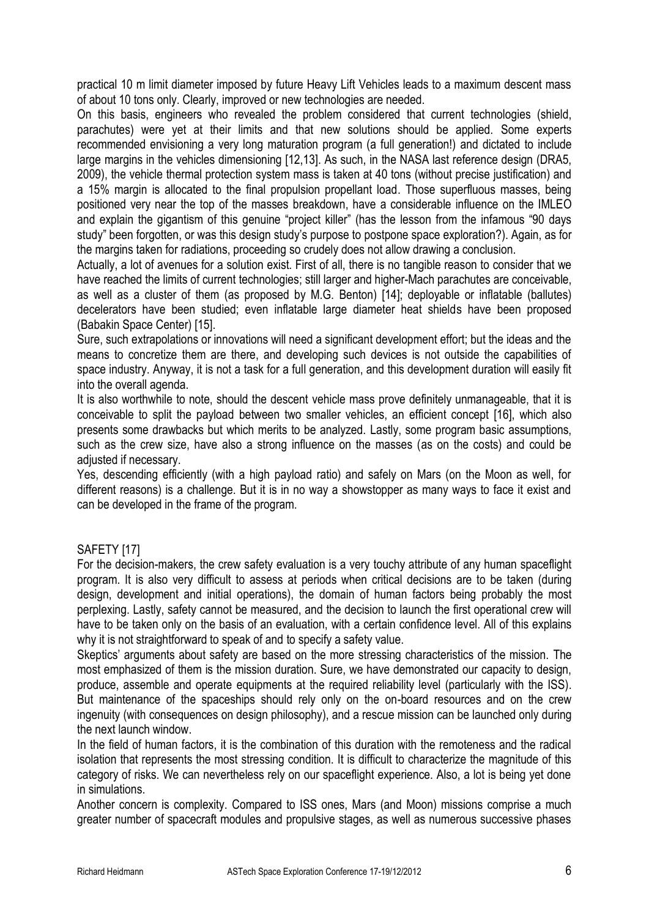practical 10 m limit diameter imposed by future Heavy Lift Vehicles leads to a maximum descent mass of about 10 tons only. Clearly, improved or new technologies are needed.

On this basis, engineers who revealed the problem considered that current technologies (shield, parachutes) were yet at their limits and that new solutions should be applied. Some experts recommended envisioning a very long maturation program (a full generation!) and dictated to include large margins in the vehicles dimensioning [12,13]. As such, in the NASA last reference design (DRA5, 2009), the vehicle thermal protection system mass is taken at 40 tons (without precise justification) and a 15% margin is allocated to the final propulsion propellant load. Those superfluous masses, being positioned very near the top of the masses breakdown, have a considerable influence on the IMLEO and explain the gigantism of this genuine "project killer" (has the lesson from the infamous "90 days study" been forgotten, or was this design study's purpose to postpone space exploration?). Again, as for the margins taken for radiations, proceeding so crudely does not allow drawing a conclusion.

Actually, a lot of avenues for a solution exist. First of all, there is no tangible reason to consider that we have reached the limits of current technologies; still larger and higher-Mach parachutes are conceivable, as well as a cluster of them (as proposed by M.G. Benton) [14]; deployable or inflatable (ballutes) decelerators have been studied; even inflatable large diameter heat shields have been proposed (Babakin Space Center) [15].

Sure, such extrapolations or innovations will need a significant development effort; but the ideas and the means to concretize them are there, and developing such devices is not outside the capabilities of space industry. Anyway, it is not a task for a full generation, and this development duration will easily fit into the overall agenda.

It is also worthwhile to note, should the descent vehicle mass prove definitely unmanageable, that it is conceivable to split the payload between two smaller vehicles, an efficient concept [16], which also presents some drawbacks but which merits to be analyzed. Lastly, some program basic assumptions, such as the crew size, have also a strong influence on the masses (as on the costs) and could be adiusted if necessary.

Yes, descending efficiently (with a high payload ratio) and safely on Mars (on the Moon as well, for different reasons) is a challenge. But it is in no way a showstopper as many ways to face it exist and can be developed in the frame of the program.

# SAFETY [17]

For the decision-makers, the crew safety evaluation is a very touchy attribute of any human spaceflight program. It is also very difficult to assess at periods when critical decisions are to be taken (during design, development and initial operations), the domain of human factors being probably the most perplexing. Lastly, safety cannot be measured, and the decision to launch the first operational crew will have to be taken only on the basis of an evaluation, with a certain confidence level. All of this explains why it is not straightforward to speak of and to specify a safety value.

Skeptics' arguments about safety are based on the more stressing characteristics of the mission. The most emphasized of them is the mission duration. Sure, we have demonstrated our capacity to design, produce, assemble and operate equipments at the required reliability level (particularly with the ISS). But maintenance of the spaceships should rely only on the on-board resources and on the crew ingenuity (with consequences on design philosophy), and a rescue mission can be launched only during the next launch window.

In the field of human factors, it is the combination of this duration with the remoteness and the radical isolation that represents the most stressing condition. It is difficult to characterize the magnitude of this category of risks. We can nevertheless rely on our spaceflight experience. Also, a lot is being yet done in simulations.

Another concern is complexity. Compared to ISS ones, Mars (and Moon) missions comprise a much greater number of spacecraft modules and propulsive stages, as well as numerous successive phases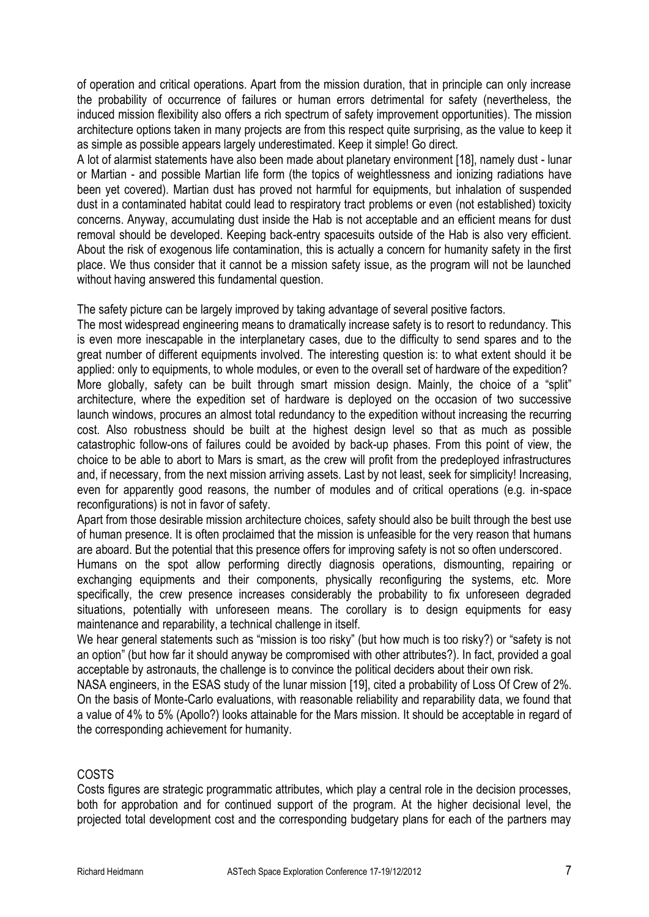of operation and critical operations. Apart from the mission duration, that in principle can only increase the probability of occurrence of failures or human errors detrimental for safety (nevertheless, the induced mission flexibility also offers a rich spectrum of safety improvement opportunities). The mission architecture options taken in many projects are from this respect quite surprising, as the value to keep it as simple as possible appears largely underestimated. Keep it simple! Go direct.

A lot of alarmist statements have also been made about planetary environment [18], namely dust - lunar or Martian - and possible Martian life form (the topics of weightlessness and ionizing radiations have been yet covered). Martian dust has proved not harmful for equipments, but inhalation of suspended dust in a contaminated habitat could lead to respiratory tract problems or even (not established) toxicity concerns. Anyway, accumulating dust inside the Hab is not acceptable and an efficient means for dust removal should be developed. Keeping back-entry spacesuits outside of the Hab is also very efficient. About the risk of exogenous life contamination, this is actually a concern for humanity safety in the first place. We thus consider that it cannot be a mission safety issue, as the program will not be launched without having answered this fundamental question.

The safety picture can be largely improved by taking advantage of several positive factors.

The most widespread engineering means to dramatically increase safety is to resort to redundancy. This is even more inescapable in the interplanetary cases, due to the difficulty to send spares and to the great number of different equipments involved. The interesting question is: to what extent should it be applied: only to equipments, to whole modules, or even to the overall set of hardware of the expedition? More globally, safety can be built through smart mission design. Mainly, the choice of a "split" architecture, where the expedition set of hardware is deployed on the occasion of two successive launch windows, procures an almost total redundancy to the expedition without increasing the recurring cost. Also robustness should be built at the highest design level so that as much as possible catastrophic follow-ons of failures could be avoided by back-up phases. From this point of view, the choice to be able to abort to Mars is smart, as the crew will profit from the predeployed infrastructures and, if necessary, from the next mission arriving assets. Last by not least, seek for simplicity! Increasing, even for apparently good reasons, the number of modules and of critical operations (e.g. in-space reconfigurations) is not in favor of safety.

Apart from those desirable mission architecture choices, safety should also be built through the best use of human presence. It is often proclaimed that the mission is unfeasible for the very reason that humans are aboard. But the potential that this presence offers for improving safety is not so often underscored.

Humans on the spot allow performing directly diagnosis operations, dismounting, repairing or exchanging equipments and their components, physically reconfiguring the systems, etc. More specifically, the crew presence increases considerably the probability to fix unforeseen degraded situations, potentially with unforeseen means. The corollary is to design equipments for easy maintenance and reparability, a technical challenge in itself.

We hear general statements such as "mission is too risky" (but how much is too risky?) or "safety is not an option" (but how far it should anyway be compromised with other attributes?). In fact, provided a goal acceptable by astronauts, the challenge is to convince the political deciders about their own risk.

NASA engineers, in the ESAS study of the lunar mission [19], cited a probability of Loss Of Crew of 2%. On the basis of Monte-Carlo evaluations, with reasonable reliability and reparability data, we found that a value of 4% to 5% (Apollo?) looks attainable for the Mars mission. It should be acceptable in regard of the corresponding achievement for humanity.

# COSTS

Costs figures are strategic programmatic attributes, which play a central role in the decision processes, both for approbation and for continued support of the program. At the higher decisional level, the projected total development cost and the corresponding budgetary plans for each of the partners may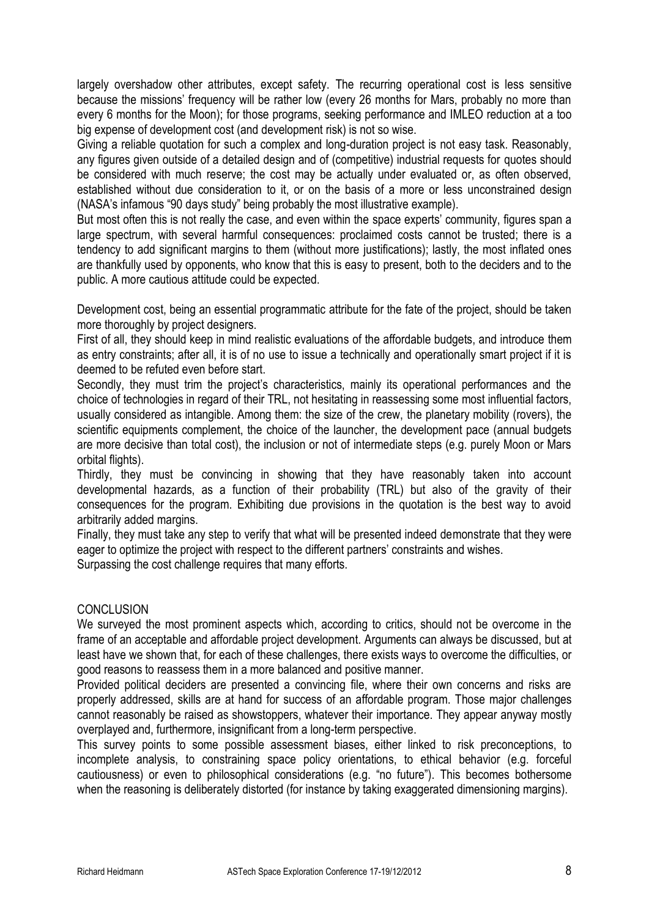largely overshadow other attributes, except safety. The recurring operational cost is less sensitive because the missions' frequency will be rather low (every 26 months for Mars, probably no more than every 6 months for the Moon); for those programs, seeking performance and IMLEO reduction at a too big expense of development cost (and development risk) is not so wise.

Giving a reliable quotation for such a complex and long-duration project is not easy task. Reasonably, any figures given outside of a detailed design and of (competitive) industrial requests for quotes should be considered with much reserve; the cost may be actually under evaluated or, as often observed, established without due consideration to it, or on the basis of a more or less unconstrained design (NASA's infamous "90 days study" being probably the most illustrative example).

But most often this is not really the case, and even within the space experts' community, figures span a large spectrum, with several harmful consequences: proclaimed costs cannot be trusted; there is a tendency to add significant margins to them (without more justifications); lastly, the most inflated ones are thankfully used by opponents, who know that this is easy to present, both to the deciders and to the public. A more cautious attitude could be expected.

Development cost, being an essential programmatic attribute for the fate of the project, should be taken more thoroughly by project designers.

First of all, they should keep in mind realistic evaluations of the affordable budgets, and introduce them as entry constraints; after all, it is of no use to issue a technically and operationally smart project if it is deemed to be refuted even before start.

Secondly, they must trim the project's characteristics, mainly its operational performances and the choice of technologies in regard of their TRL, not hesitating in reassessing some most influential factors, usually considered as intangible. Among them: the size of the crew, the planetary mobility (rovers), the scientific equipments complement, the choice of the launcher, the development pace (annual budgets are more decisive than total cost), the inclusion or not of intermediate steps (e.g. purely Moon or Mars orbital flights).

Thirdly, they must be convincing in showing that they have reasonably taken into account developmental hazards, as a function of their probability (TRL) but also of the gravity of their consequences for the program. Exhibiting due provisions in the quotation is the best way to avoid arbitrarily added margins.

Finally, they must take any step to verify that what will be presented indeed demonstrate that they were eager to optimize the project with respect to the different partners' constraints and wishes.

Surpassing the cost challenge requires that many efforts.

# **CONCLUSION**

We surveyed the most prominent aspects which, according to critics, should not be overcome in the frame of an acceptable and affordable project development. Arguments can always be discussed, but at least have we shown that, for each of these challenges, there exists ways to overcome the difficulties, or good reasons to reassess them in a more balanced and positive manner.

Provided political deciders are presented a convincing file, where their own concerns and risks are properly addressed, skills are at hand for success of an affordable program. Those major challenges cannot reasonably be raised as showstoppers, whatever their importance. They appear anyway mostly overplayed and, furthermore, insignificant from a long-term perspective.

This survey points to some possible assessment biases, either linked to risk preconceptions, to incomplete analysis, to constraining space policy orientations, to ethical behavior (e.g. forceful cautiousness) or even to philosophical considerations (e.g. "no future"). This becomes bothersome when the reasoning is deliberately distorted (for instance by taking exaggerated dimensioning margins).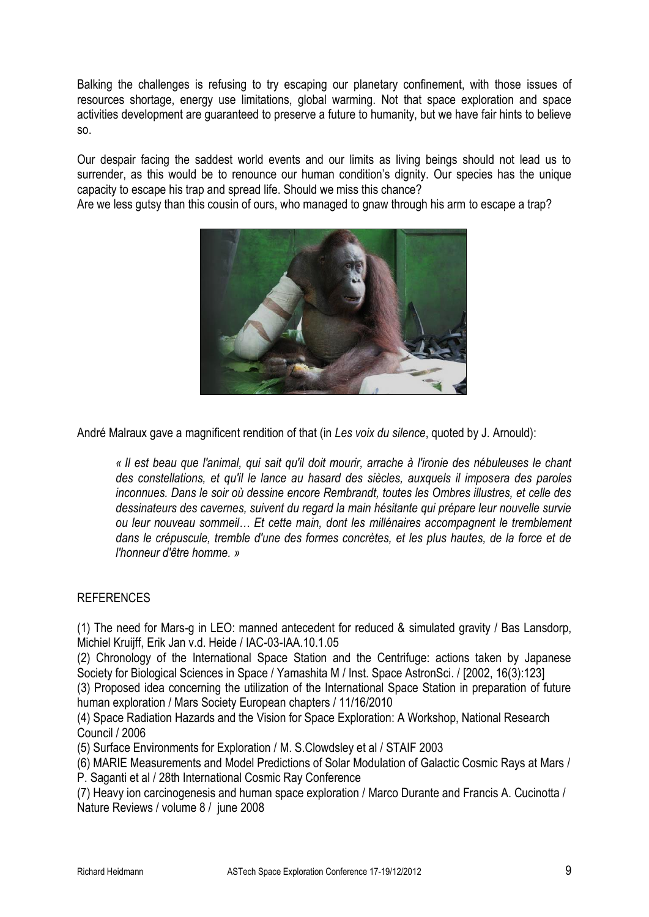Balking the challenges is refusing to try escaping our planetary confinement, with those issues of resources shortage, energy use limitations, global warming. Not that space exploration and space activities development are guaranteed to preserve a future to humanity, but we have fair hints to believe so.

Our despair facing the saddest world events and our limits as living beings should not lead us to surrender, as this would be to renounce our human condition's dignity. Our species has the unique capacity to escape his trap and spread life. Should we miss this chance?

Are we less gutsy than this cousin of ours, who managed to gnaw through his arm to escape a trap?



André Malraux gave a magnificent rendition of that (in *Les voix du silence*, quoted by J. Arnould):

*« Il est beau que l'animal, qui sait qu'il doit mourir, arrache à l'ironie des nébuleuses le chant des constellations, et qu'il le lance au hasard des siècles, auxquels il imposera des paroles inconnues. Dans le soir où dessine encore Rembrandt, toutes les Ombres illustres, et celle des dessinateurs des cavernes, suivent du regard la main hésitante qui prépare leur nouvelle survie ou leur nouveau sommeil… Et cette main, dont les millénaires accompagnent le tremblement dans le crépuscule, tremble d'une des formes concrètes, et les plus hautes, de la force et de l'honneur d'être homme. »*

# **REFERENCES**

(1) The need for Mars-g in LEO: manned antecedent for reduced & simulated gravity / Bas Lansdorp, Michiel Kruijff, Erik Jan v.d. Heide / IAC-03-IAA.10.1.05

(2) Chronology of the International Space Station and the Centrifuge: actions taken by Japanese Society for Biological Sciences in Space / [Yamashita M](http://europepmc.org/search/?page=1&query=AUTH:%22Yamashita+M%22) / Inst. Space AstronSci. / [2002, 16(3):123]

(3) Proposed idea concerning the utilization of the International Space Station in preparation of future human exploration / Mars Society European chapters / 11/16/2010

(4) Space Radiation Hazards and the Vision for Space Exploration: A Workshop, National Research Council / 2006

(5) Surface Environments for Exploration / M. S.Clowdsley et al / STAIF 2003

(6) MARIE Measurements and Model Predictions of Solar Modulation of Galactic Cosmic Rays at Mars / P. Saganti et al / 28th International Cosmic Ray Conference

(7) Heavy ion carcinogenesis and human space exploration / Marco Durante and Francis A. Cucinotta / Nature Reviews / volume 8 / june 2008